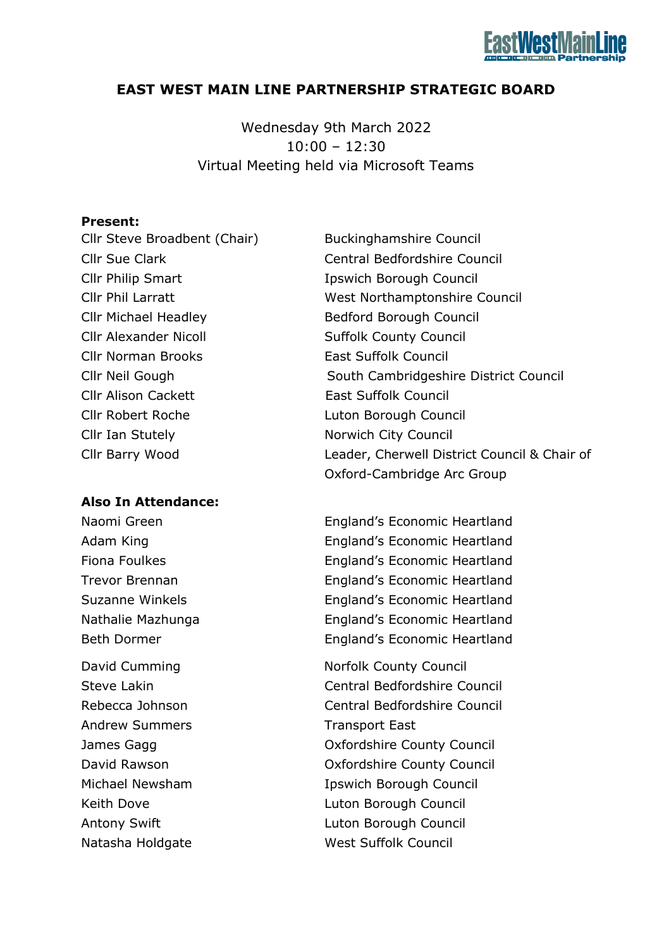# **EAST WEST MAIN LINE PARTNERSHIP STRATEGIC BOARD**

Wednesday 9th March 2022  $10:00 - 12:30$ Virtual Meeting held via Microsoft Teams

## **Present:**

Cllr Steve Broadbent (Chair) Buckinghamshire Council Cllr Philip Smart Ipswich Borough Council Cllr Michael Headley Bedford Borough Council Cllr Alexander Nicoll Suffolk County Council Cllr Norman Brooks East Suffolk Council Cllr Alison Cackett East Suffolk Council Cllr Robert Roche Luton Borough Council Cllr Ian Stutely Norwich City Council

## **Also In Attendance:**

Andrew Summers Transport East

Cllr Sue Clark Central Bedfordshire Council Cllr Phil Larratt West Northamptonshire Council Cllr Neil Gough South Cambridgeshire District Council Cllr Barry Wood Leader, Cherwell District Council & Chair of Oxford-Cambridge Arc Group

Naomi Green **England's Economic Heartland** Adam King **England's Economic Heartland** Fiona Foulkes **England's Economic Heartland** Trevor Brennan England's Economic Heartland Suzanne Winkels **England's Economic Heartland** Nathalie Mazhunga England's Economic Heartland Beth Dormer **England's Economic Heartland** 

David Cumming Norfolk County Council Steve Lakin Central Bedfordshire Council Rebecca Johnson Central Bedfordshire Council James Gagg Oxfordshire County Council David Rawson Oxfordshire County Council Michael Newsham **IDSWich Borough Council** Keith Dove **Luton Borough Council** Antony Swift **Luton Borough Council** Natasha Holdgate West Suffolk Council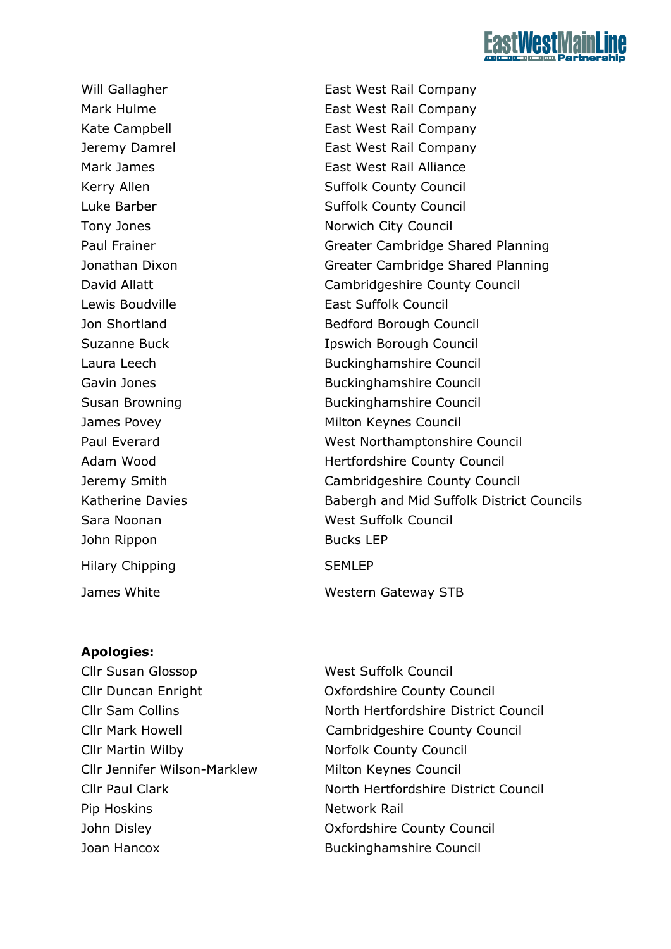

John Rippon Bucks LEP Hilary Chipping SEMLEP

Will Gallagher **East West Rail Company** Mark Hulme **East West Rail Company** Kate Campbell **East West Rail Company** Jeremy Damrel East West Rail Company Mark James **East West Rail Alliance** Kerry Allen Suffolk County Council Luke Barber **Suffolk County Council** Tony Jones **Norwich City Council** Paul Frainer **Greater Cambridge Shared Planning** Jonathan Dixon Greater Cambridge Shared Planning David Allatt Council Cambridgeshire County Council Lewis Boudville **East Suffolk Council** Jon Shortland Bedford Borough Council Suzanne Buck **Ipswich Borough Council** Laura Leech Buckinghamshire Council Gavin Jones **Buckinghamshire Council** Susan Browning **Buckinghamshire Council** James Povey **Milton Keynes Council** Paul Everard **National Everard Council** West Northamptonshire Council Adam Wood Hertfordshire County Council Jeremy Smith Cambridgeshire County Council Katherine Davies **Babergh and Mid Suffolk District Councils** Sara Noonan West Suffolk Council James White Western Gateway STB

## **Apologies:**

Cllr Susan Glossop West Suffolk Council Cllr Martin Wilby Norfolk County Council Cllr Jennifer Wilson-Marklew Milton Keynes Council Pip Hoskins Network Rail Joan Hancox Buckinghamshire Council

Cllr Duncan Enright Oxfordshire County Council Cllr Sam Collins North Hertfordshire District Council Cllr Mark Howell Cambridgeshire County Council Cllr Paul Clark North Hertfordshire District Council John Disley Oxfordshire County Council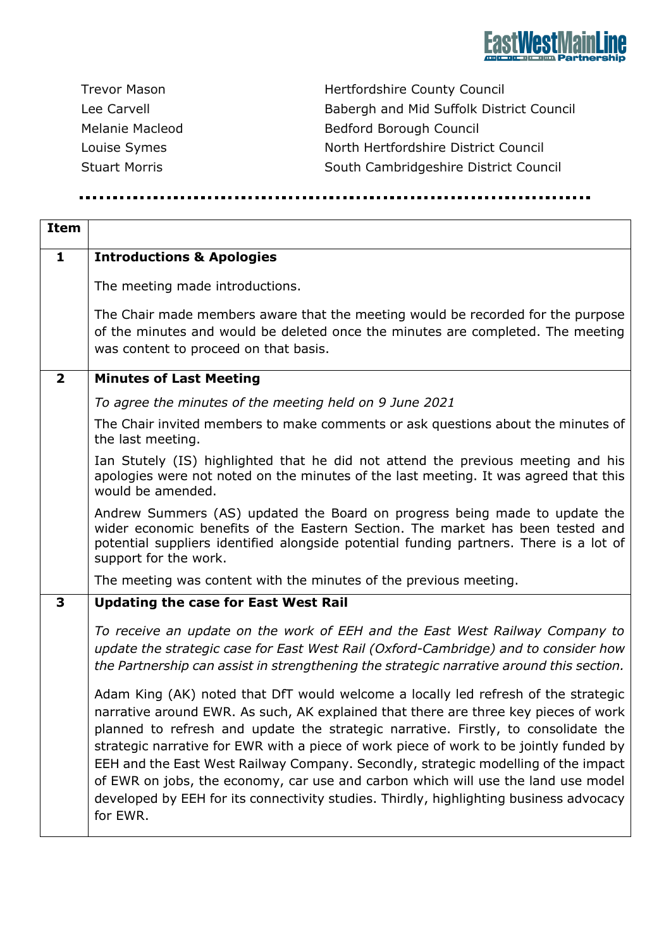

| Trevor Mason         |
|----------------------|
| Lee Carvell          |
| Melanie Macleod      |
| Louise Symes         |
| <b>Stuart Morris</b> |

Hertfordshire County Council Babergh and Mid Suffolk District Council Bedford Borough Council North Hertfordshire District Council South Cambridgeshire District Council

| <b>Item</b>             |                                                                                                                                                                                                                                                                                                                                                                                                                                                                                                                                                                                                                                            |
|-------------------------|--------------------------------------------------------------------------------------------------------------------------------------------------------------------------------------------------------------------------------------------------------------------------------------------------------------------------------------------------------------------------------------------------------------------------------------------------------------------------------------------------------------------------------------------------------------------------------------------------------------------------------------------|
| $\mathbf{1}$            | <b>Introductions &amp; Apologies</b>                                                                                                                                                                                                                                                                                                                                                                                                                                                                                                                                                                                                       |
|                         | The meeting made introductions.                                                                                                                                                                                                                                                                                                                                                                                                                                                                                                                                                                                                            |
|                         | The Chair made members aware that the meeting would be recorded for the purpose<br>of the minutes and would be deleted once the minutes are completed. The meeting<br>was content to proceed on that basis.                                                                                                                                                                                                                                                                                                                                                                                                                                |
| $\overline{\mathbf{2}}$ | <b>Minutes of Last Meeting</b>                                                                                                                                                                                                                                                                                                                                                                                                                                                                                                                                                                                                             |
|                         | To agree the minutes of the meeting held on 9 June 2021                                                                                                                                                                                                                                                                                                                                                                                                                                                                                                                                                                                    |
|                         | The Chair invited members to make comments or ask questions about the minutes of<br>the last meeting.                                                                                                                                                                                                                                                                                                                                                                                                                                                                                                                                      |
|                         | Ian Stutely (IS) highlighted that he did not attend the previous meeting and his<br>apologies were not noted on the minutes of the last meeting. It was agreed that this<br>would be amended.                                                                                                                                                                                                                                                                                                                                                                                                                                              |
|                         | Andrew Summers (AS) updated the Board on progress being made to update the<br>wider economic benefits of the Eastern Section. The market has been tested and<br>potential suppliers identified alongside potential funding partners. There is a lot of<br>support for the work.                                                                                                                                                                                                                                                                                                                                                            |
|                         | The meeting was content with the minutes of the previous meeting.                                                                                                                                                                                                                                                                                                                                                                                                                                                                                                                                                                          |
| 3                       | <b>Updating the case for East West Rail</b>                                                                                                                                                                                                                                                                                                                                                                                                                                                                                                                                                                                                |
|                         | To receive an update on the work of EEH and the East West Railway Company to<br>update the strategic case for East West Rail (Oxford-Cambridge) and to consider how<br>the Partnership can assist in strengthening the strategic narrative around this section.                                                                                                                                                                                                                                                                                                                                                                            |
|                         | Adam King (AK) noted that DfT would welcome a locally led refresh of the strategic<br>narrative around EWR. As such, AK explained that there are three key pieces of work<br>planned to refresh and update the strategic narrative. Firstly, to consolidate the<br>strategic narrative for EWR with a piece of work piece of work to be jointly funded by<br>EEH and the East West Railway Company. Secondly, strategic modelling of the impact<br>of EWR on jobs, the economy, car use and carbon which will use the land use model<br>developed by EEH for its connectivity studies. Thirdly, highlighting business advocacy<br>for EWR. |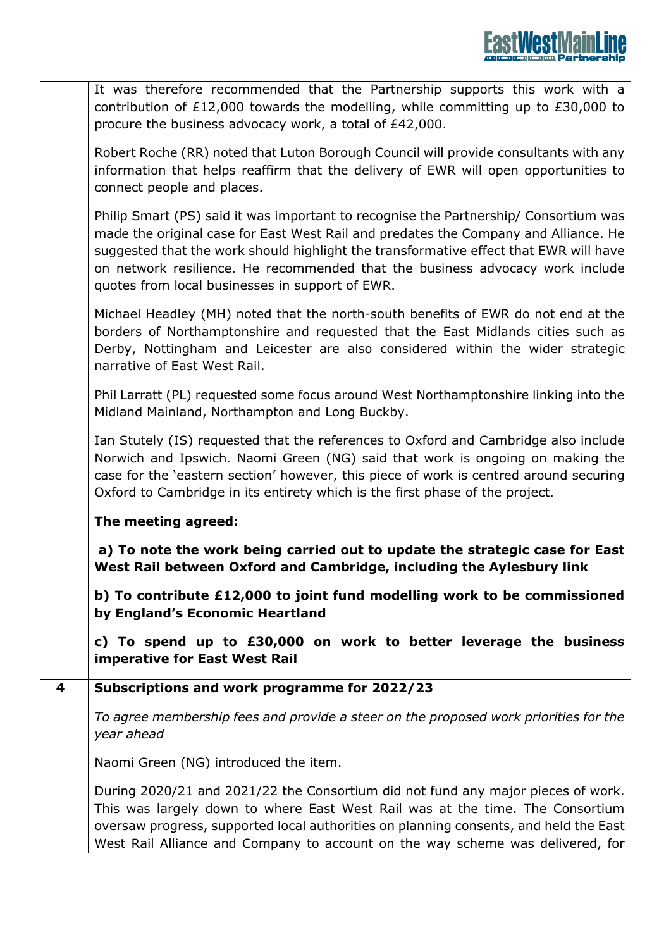|   | It was therefore recommended that the Partnership supports this work with a<br>contribution of £12,000 towards the modelling, while committing up to £30,000 to<br>procure the business advocacy work, a total of £42,000.                                                                                                                                                                               |
|---|----------------------------------------------------------------------------------------------------------------------------------------------------------------------------------------------------------------------------------------------------------------------------------------------------------------------------------------------------------------------------------------------------------|
|   | Robert Roche (RR) noted that Luton Borough Council will provide consultants with any<br>information that helps reaffirm that the delivery of EWR will open opportunities to<br>connect people and places.                                                                                                                                                                                                |
|   | Philip Smart (PS) said it was important to recognise the Partnership/ Consortium was<br>made the original case for East West Rail and predates the Company and Alliance. He<br>suggested that the work should highlight the transformative effect that EWR will have<br>on network resilience. He recommended that the business advocacy work include<br>quotes from local businesses in support of EWR. |
|   | Michael Headley (MH) noted that the north-south benefits of EWR do not end at the<br>borders of Northamptonshire and requested that the East Midlands cities such as<br>Derby, Nottingham and Leicester are also considered within the wider strategic<br>narrative of East West Rail.                                                                                                                   |
|   | Phil Larratt (PL) requested some focus around West Northamptonshire linking into the<br>Midland Mainland, Northampton and Long Buckby.                                                                                                                                                                                                                                                                   |
|   | Ian Stutely (IS) requested that the references to Oxford and Cambridge also include<br>Norwich and Ipswich. Naomi Green (NG) said that work is ongoing on making the<br>case for the 'eastern section' however, this piece of work is centred around securing<br>Oxford to Cambridge in its entirety which is the first phase of the project.                                                            |
|   | The meeting agreed:                                                                                                                                                                                                                                                                                                                                                                                      |
|   | a) To note the work being carried out to update the strategic case for East<br>West Rail between Oxford and Cambridge, including the Aylesbury link                                                                                                                                                                                                                                                      |
|   | b) To contribute £12,000 to joint fund modelling work to be commissioned<br>by England's Economic Heartland                                                                                                                                                                                                                                                                                              |
|   | c) To spend up to £30,000 on work to better leverage the business<br>imperative for East West Rail                                                                                                                                                                                                                                                                                                       |
| 4 | Subscriptions and work programme for 2022/23                                                                                                                                                                                                                                                                                                                                                             |
|   | To agree membership fees and provide a steer on the proposed work priorities for the<br>year ahead                                                                                                                                                                                                                                                                                                       |
|   | Naomi Green (NG) introduced the item.                                                                                                                                                                                                                                                                                                                                                                    |
|   | During 2020/21 and 2021/22 the Consortium did not fund any major pieces of work.<br>This was largely down to where East West Rail was at the time. The Consortium<br>oversaw progress, supported local authorities on planning consents, and held the East<br>West Rail Alliance and Company to account on the way scheme was delivered, for                                                             |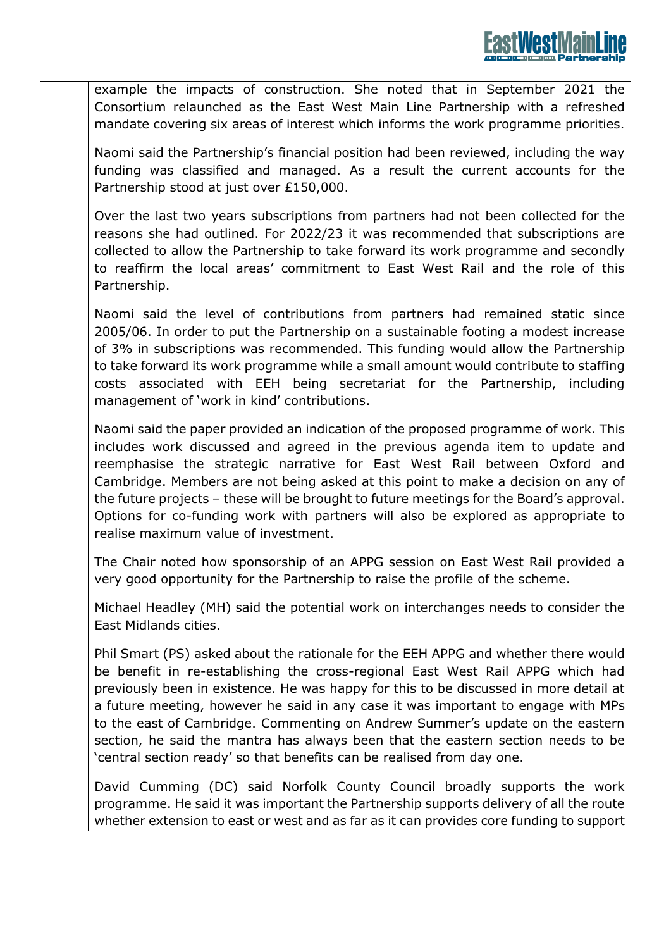example the impacts of construction. She noted that in September 2021 the Consortium relaunched as the East West Main Line Partnership with a refreshed mandate covering six areas of interest which informs the work programme priorities.

Naomi said the Partnership's financial position had been reviewed, including the way funding was classified and managed. As a result the current accounts for the Partnership stood at just over £150,000.

Over the last two years subscriptions from partners had not been collected for the reasons she had outlined. For 2022/23 it was recommended that subscriptions are collected to allow the Partnership to take forward its work programme and secondly to reaffirm the local areas' commitment to East West Rail and the role of this Partnership.

Naomi said the level of contributions from partners had remained static since 2005/06. In order to put the Partnership on a sustainable footing a modest increase of 3% in subscriptions was recommended. This funding would allow the Partnership to take forward its work programme while a small amount would contribute to staffing costs associated with EEH being secretariat for the Partnership, including management of 'work in kind' contributions.

Naomi said the paper provided an indication of the proposed programme of work. This includes work discussed and agreed in the previous agenda item to update and reemphasise the strategic narrative for East West Rail between Oxford and Cambridge. Members are not being asked at this point to make a decision on any of the future projects – these will be brought to future meetings for the Board's approval. Options for co-funding work with partners will also be explored as appropriate to realise maximum value of investment.

The Chair noted how sponsorship of an APPG session on East West Rail provided a very good opportunity for the Partnership to raise the profile of the scheme.

Michael Headley (MH) said the potential work on interchanges needs to consider the East Midlands cities.

Phil Smart (PS) asked about the rationale for the EEH APPG and whether there would be benefit in re-establishing the cross-regional East West Rail APPG which had previously been in existence. He was happy for this to be discussed in more detail at a future meeting, however he said in any case it was important to engage with MPs to the east of Cambridge. Commenting on Andrew Summer's update on the eastern section, he said the mantra has always been that the eastern section needs to be 'central section ready' so that benefits can be realised from day one.

David Cumming (DC) said Norfolk County Council broadly supports the work programme. He said it was important the Partnership supports delivery of all the route whether extension to east or west and as far as it can provides core funding to support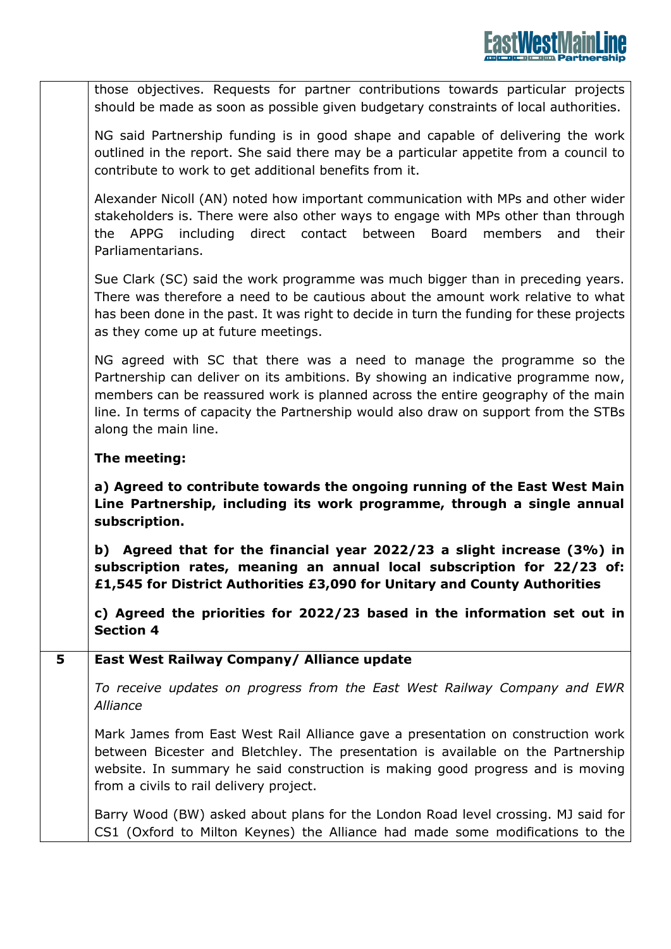those objectives. Requests for partner contributions towards particular projects should be made as soon as possible given budgetary constraints of local authorities.

NG said Partnership funding is in good shape and capable of delivering the work outlined in the report. She said there may be a particular appetite from a council to contribute to work to get additional benefits from it.

Alexander Nicoll (AN) noted how important communication with MPs and other wider stakeholders is. There were also other ways to engage with MPs other than through the APPG including direct contact between Board members and their Parliamentarians.

Sue Clark (SC) said the work programme was much bigger than in preceding years. There was therefore a need to be cautious about the amount work relative to what has been done in the past. It was right to decide in turn the funding for these projects as they come up at future meetings.

NG agreed with SC that there was a need to manage the programme so the Partnership can deliver on its ambitions. By showing an indicative programme now, members can be reassured work is planned across the entire geography of the main line. In terms of capacity the Partnership would also draw on support from the STBs along the main line.

# **The meeting:**

**a) Agreed to contribute towards the ongoing running of the East West Main Line Partnership, including its work programme, through a single annual subscription.** 

**b) Agreed that for the financial year 2022/23 a slight increase (3%) in subscription rates, meaning an annual local subscription for 22/23 of: £1,545 for District Authorities £3,090 for Unitary and County Authorities**

**c) Agreed the priorities for 2022/23 based in the information set out in Section 4**

# **5 East West Railway Company/ Alliance update**

*To receive updates on progress from the East West Railway Company and EWR Alliance*

Mark James from East West Rail Alliance gave a presentation on construction work between Bicester and Bletchley. The presentation is available on the Partnership website. In summary he said construction is making good progress and is moving from a civils to rail delivery project.

Barry Wood (BW) asked about plans for the London Road level crossing. MJ said for CS1 (Oxford to Milton Keynes) the Alliance had made some modifications to the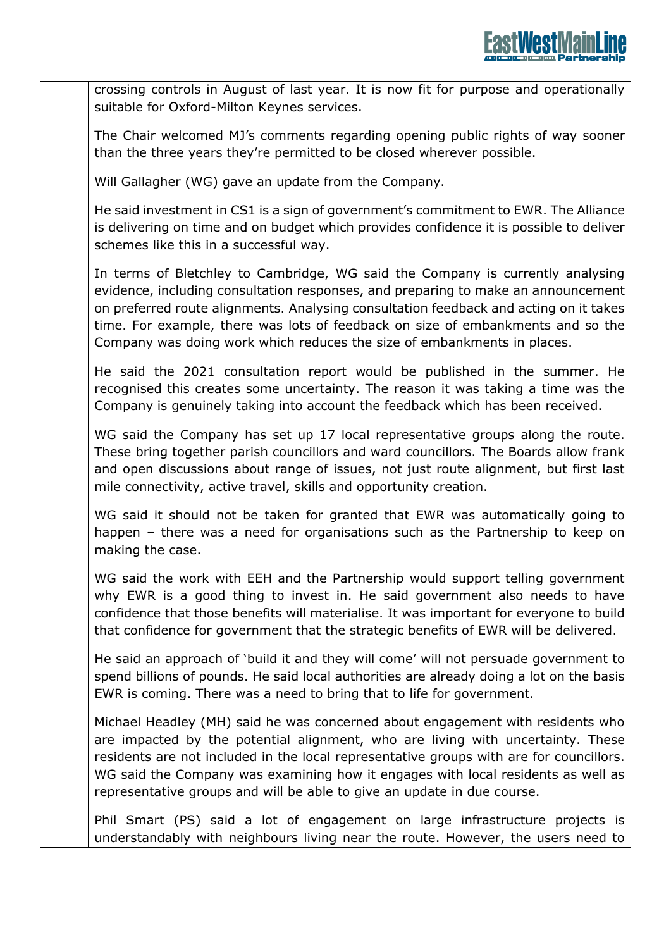crossing controls in August of last year. It is now fit for purpose and operationally suitable for Oxford-Milton Keynes services.

The Chair welcomed MJ's comments regarding opening public rights of way sooner than the three years they're permitted to be closed wherever possible.

Will Gallagher (WG) gave an update from the Company.

He said investment in CS1 is a sign of government's commitment to EWR. The Alliance is delivering on time and on budget which provides confidence it is possible to deliver schemes like this in a successful way.

In terms of Bletchley to Cambridge, WG said the Company is currently analysing evidence, including consultation responses, and preparing to make an announcement on preferred route alignments. Analysing consultation feedback and acting on it takes time. For example, there was lots of feedback on size of embankments and so the Company was doing work which reduces the size of embankments in places.

He said the 2021 consultation report would be published in the summer. He recognised this creates some uncertainty. The reason it was taking a time was the Company is genuinely taking into account the feedback which has been received.

WG said the Company has set up 17 local representative groups along the route. These bring together parish councillors and ward councillors. The Boards allow frank and open discussions about range of issues, not just route alignment, but first last mile connectivity, active travel, skills and opportunity creation.

WG said it should not be taken for granted that EWR was automatically going to happen – there was a need for organisations such as the Partnership to keep on making the case.

WG said the work with EEH and the Partnership would support telling government why EWR is a good thing to invest in. He said government also needs to have confidence that those benefits will materialise. It was important for everyone to build that confidence for government that the strategic benefits of EWR will be delivered.

He said an approach of 'build it and they will come' will not persuade government to spend billions of pounds. He said local authorities are already doing a lot on the basis EWR is coming. There was a need to bring that to life for government.

Michael Headley (MH) said he was concerned about engagement with residents who are impacted by the potential alignment, who are living with uncertainty. These residents are not included in the local representative groups with are for councillors. WG said the Company was examining how it engages with local residents as well as representative groups and will be able to give an update in due course.

Phil Smart (PS) said a lot of engagement on large infrastructure projects is understandably with neighbours living near the route. However, the users need to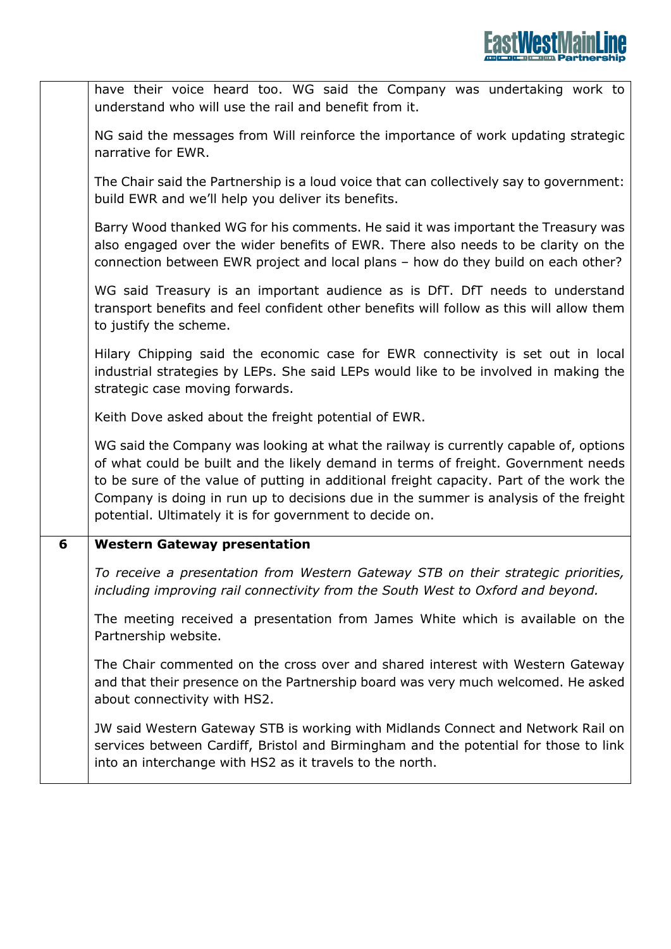|   | have their voice heard too. WG said the Company was undertaking work to<br>understand who will use the rail and benefit from it.                                                                                                                                                                                                                                                                                          |
|---|---------------------------------------------------------------------------------------------------------------------------------------------------------------------------------------------------------------------------------------------------------------------------------------------------------------------------------------------------------------------------------------------------------------------------|
|   | NG said the messages from Will reinforce the importance of work updating strategic<br>narrative for EWR.                                                                                                                                                                                                                                                                                                                  |
|   | The Chair said the Partnership is a loud voice that can collectively say to government:<br>build EWR and we'll help you deliver its benefits.                                                                                                                                                                                                                                                                             |
|   | Barry Wood thanked WG for his comments. He said it was important the Treasury was<br>also engaged over the wider benefits of EWR. There also needs to be clarity on the<br>connection between EWR project and local plans - how do they build on each other?                                                                                                                                                              |
|   | WG said Treasury is an important audience as is DfT. DfT needs to understand<br>transport benefits and feel confident other benefits will follow as this will allow them<br>to justify the scheme.                                                                                                                                                                                                                        |
|   | Hilary Chipping said the economic case for EWR connectivity is set out in local<br>industrial strategies by LEPs. She said LEPs would like to be involved in making the<br>strategic case moving forwards.                                                                                                                                                                                                                |
|   | Keith Dove asked about the freight potential of EWR.                                                                                                                                                                                                                                                                                                                                                                      |
|   | WG said the Company was looking at what the railway is currently capable of, options<br>of what could be built and the likely demand in terms of freight. Government needs<br>to be sure of the value of putting in additional freight capacity. Part of the work the<br>Company is doing in run up to decisions due in the summer is analysis of the freight<br>potential. Ultimately it is for government to decide on. |
| 6 | <b>Western Gateway presentation</b>                                                                                                                                                                                                                                                                                                                                                                                       |
|   | To receive a presentation from Western Gateway STB on their strategic priorities,<br>including improving rail connectivity from the South West to Oxford and beyond.                                                                                                                                                                                                                                                      |
|   | The meeting received a presentation from James White which is available on the<br>Partnership website.                                                                                                                                                                                                                                                                                                                    |
|   | The Chair commented on the cross over and shared interest with Western Gateway<br>and that their presence on the Partnership board was very much welcomed. He asked<br>about connectivity with HS2.                                                                                                                                                                                                                       |
|   | JW said Western Gateway STB is working with Midlands Connect and Network Rail on<br>services between Cardiff, Bristol and Birmingham and the potential for those to link<br>into an interchange with HS2 as it travels to the north.                                                                                                                                                                                      |